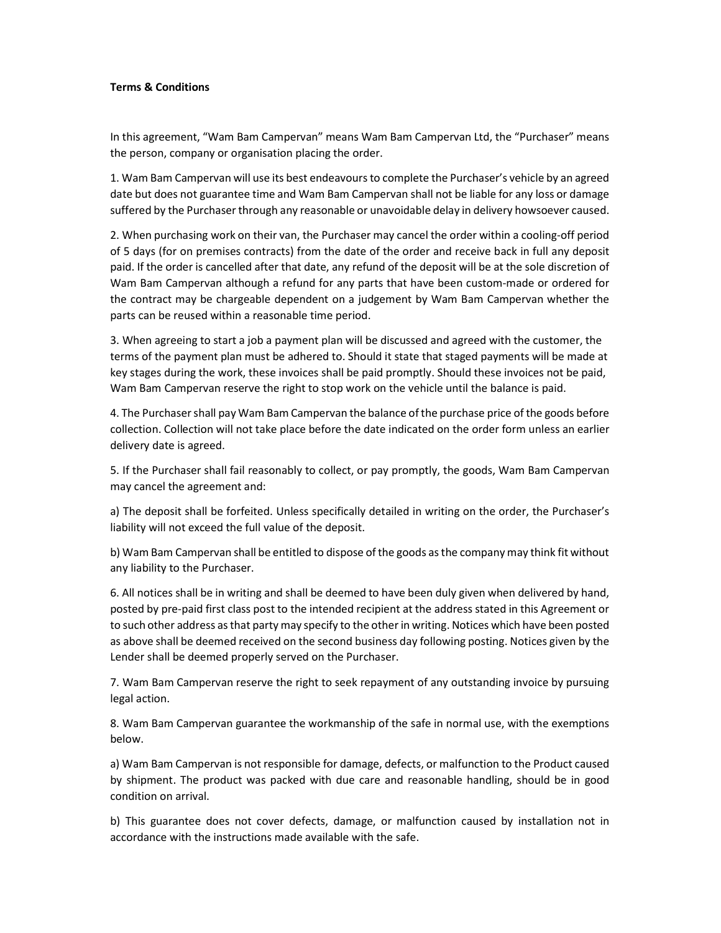## Terms & Conditions

In this agreement, "Wam Bam Campervan" means Wam Bam Campervan Ltd, the "Purchaser" means the person, company or organisation placing the order.

1. Wam Bam Campervan will use its best endeavours to complete the Purchaser's vehicle by an agreed date but does not guarantee time and Wam Bam Campervan shall not be liable for any loss or damage suffered by the Purchaser through any reasonable or unavoidable delay in delivery howsoever caused.

2. When purchasing work on their van, the Purchaser may cancel the order within a cooling-off period of 5 days (for on premises contracts) from the date of the order and receive back in full any deposit paid. If the order is cancelled after that date, any refund of the deposit will be at the sole discretion of Wam Bam Campervan although a refund for any parts that have been custom-made or ordered for the contract may be chargeable dependent on a judgement by Wam Bam Campervan whether the parts can be reused within a reasonable time period.

3. When agreeing to start a job a payment plan will be discussed and agreed with the customer, the terms of the payment plan must be adhered to. Should it state that staged payments will be made at key stages during the work, these invoices shall be paid promptly. Should these invoices not be paid, Wam Bam Campervan reserve the right to stop work on the vehicle until the balance is paid.

4. The Purchaser shall pay Wam Bam Campervan the balance of the purchase price of the goods before collection. Collection will not take place before the date indicated on the order form unless an earlier delivery date is agreed.

5. If the Purchaser shall fail reasonably to collect, or pay promptly, the goods, Wam Bam Campervan may cancel the agreement and:

a) The deposit shall be forfeited. Unless specifically detailed in writing on the order, the Purchaser's liability will not exceed the full value of the deposit.

b) Wam Bam Campervan shall be entitled to dispose of the goods as the company may think fit without any liability to the Purchaser.

6. All notices shall be in writing and shall be deemed to have been duly given when delivered by hand, posted by pre-paid first class post to the intended recipient at the address stated in this Agreement or to such other address as that party may specify to the other in writing. Notices which have been posted as above shall be deemed received on the second business day following posting. Notices given by the Lender shall be deemed properly served on the Purchaser.

7. Wam Bam Campervan reserve the right to seek repayment of any outstanding invoice by pursuing legal action.

8. Wam Bam Campervan guarantee the workmanship of the safe in normal use, with the exemptions below.

a) Wam Bam Campervan is not responsible for damage, defects, or malfunction to the Product caused by shipment. The product was packed with due care and reasonable handling, should be in good condition on arrival.

b) This guarantee does not cover defects, damage, or malfunction caused by installation not in accordance with the instructions made available with the safe.